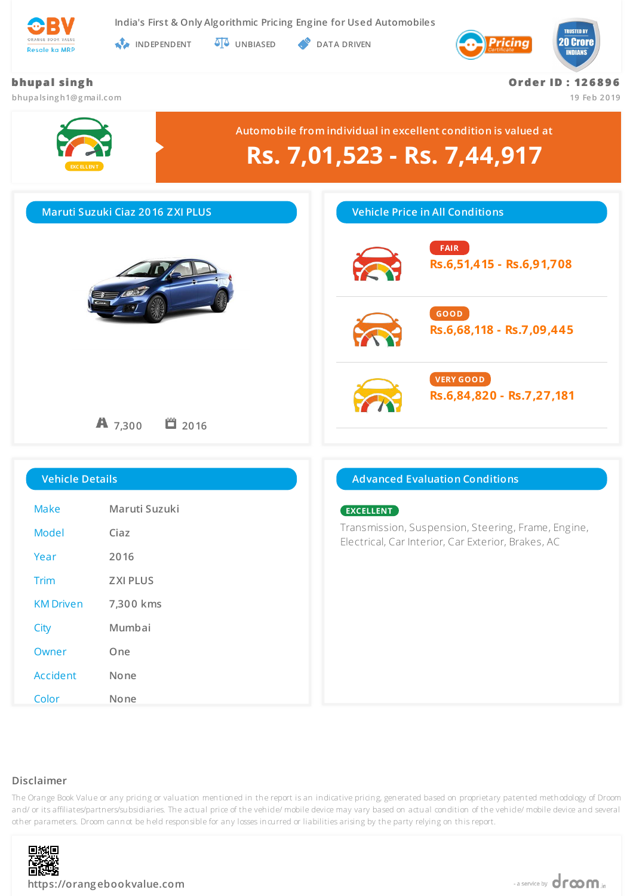

**India's First & Only Algorithmic Pricing Engine for Used Automobiles**

**INDEPENDENT UNBIASED DATA DRIVEN** 



# **bhupa l si ng h bhupalsing h1@g mail.com Or de r ID : 12 6 8 9 6 19 Feb 2019 EXC ELLEN T Automobile from individual in excellent condition is valued at Rs. 7,01,523 - Rs. 7,44,917 Maruti Suzuki Ciaz 2016 ZXI PLUS** A 7.300  **2016 Vehicle Price in All Conditions FAIR Rs.6,51,415 - Rs.6,91,708 GOOD Rs.6,68,118 - Rs.7,09,445 VERY GOOD Rs.6,84,820 - Rs.7,27,181 Vehicle Details** Make **Maruti Suzuki** Model **Ciaz** Year **2016** Trim **ZXI PLUS** KM Driven **7,300 kms** City **Mumbai** Owner **One Advanced Evaluation Conditions EXCELLENT** Transmission, Suspension, Steering, Frame, Engine, Electrical, Car Interior, Car Exterior, Brakes, AC

#### **Disclaimer**

The Orange Book Value or any pricing or valuation mentioned in the report is an indicative pricing, generated based on proprietary patented methodology of Droom and/ or its affiliates/partners/subsidiaries. The actual price of the vehicle/ mobile device may vary based on actual condition of the vehicle/ mobile device and several other parameters. Droom cannot be held responsible for any losses incurred or liabilities arising by the party relying on this report.



Accident **None**

Color **None**

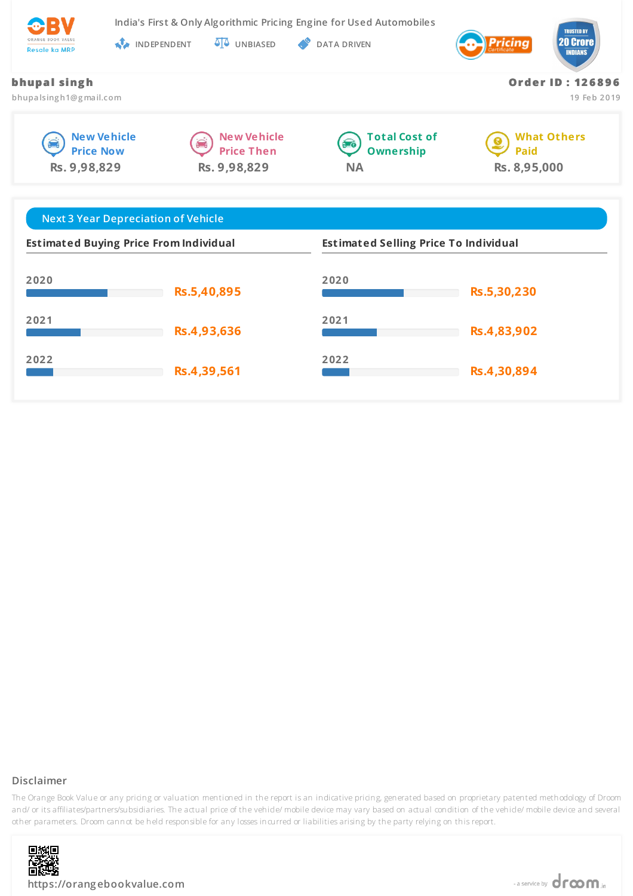

**India's First & Only Algorithmic Pricing Engine for Used Automobiles**

**INDEPENDENT UNBIASED DATA DRIVEN** 



**Or de r ID : 12 6 8 9 6**

**19 Feb 2019**

| bhupal singh |  |
|--------------|--|
|--------------|--|

**bhupalsing h1@g mail.com**







**What Others**  $\bullet$ **Paid Rs. 8,95,000**

| <b>Next 3 Year Depreciation of Vehicle</b>    |             |                                              |             |  |
|-----------------------------------------------|-------------|----------------------------------------------|-------------|--|
| <b>Estimated Buying Price From Individual</b> |             | <b>Estimated Selling Price To Individual</b> |             |  |
| 2020                                          | Rs.5,40,895 | 2020                                         | Rs.5,30,230 |  |
| 2021                                          | Rs.4,93,636 | 2021                                         | Rs.4,83,902 |  |
| 2022                                          | Rs.4,39,561 | 2022                                         | Rs.4,30,894 |  |

# **Disclaimer**

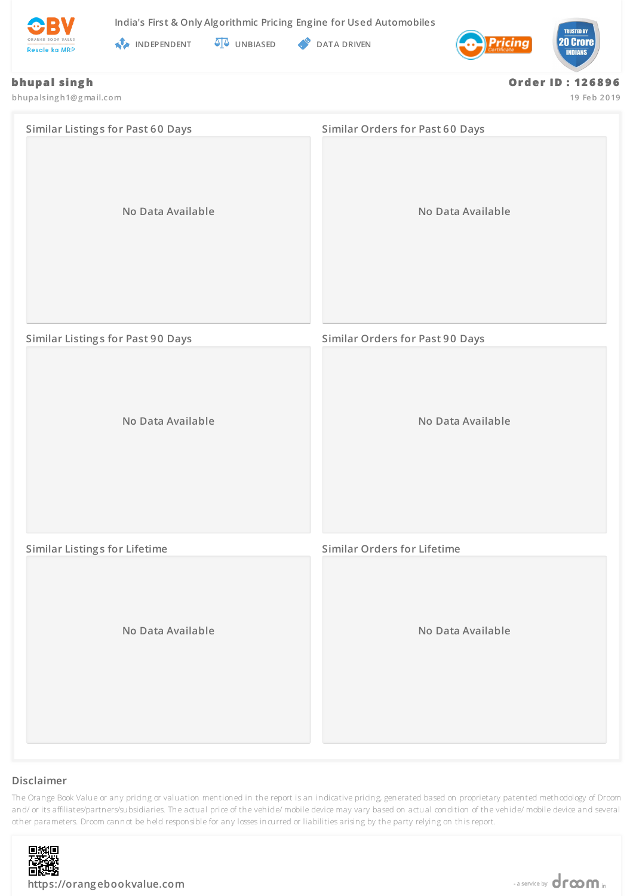



**INDEPENDENT UNBIASED S** DATA DRIVEN



### **bhupal singh**

**bhupalsing h1@g mail.com**

**Or de r ID : 12 6 8 9 6**

**19 Feb 2019**

| <b>Similar Listings for Past 60 Days</b> | Similar Orders for Past 60 Days        |
|------------------------------------------|----------------------------------------|
| No Data Available                        | No Data Available                      |
| <b>Similar Listings for Past 90 Days</b> | <b>Similar Orders for Past 90 Days</b> |
| No Data Available                        | No Data Available                      |
| <b>Similar Listings for Lifetime</b>     | <b>Similar Orders for Lifetime</b>     |
| No Data Available                        | No Data Available                      |

# **Disclaimer**

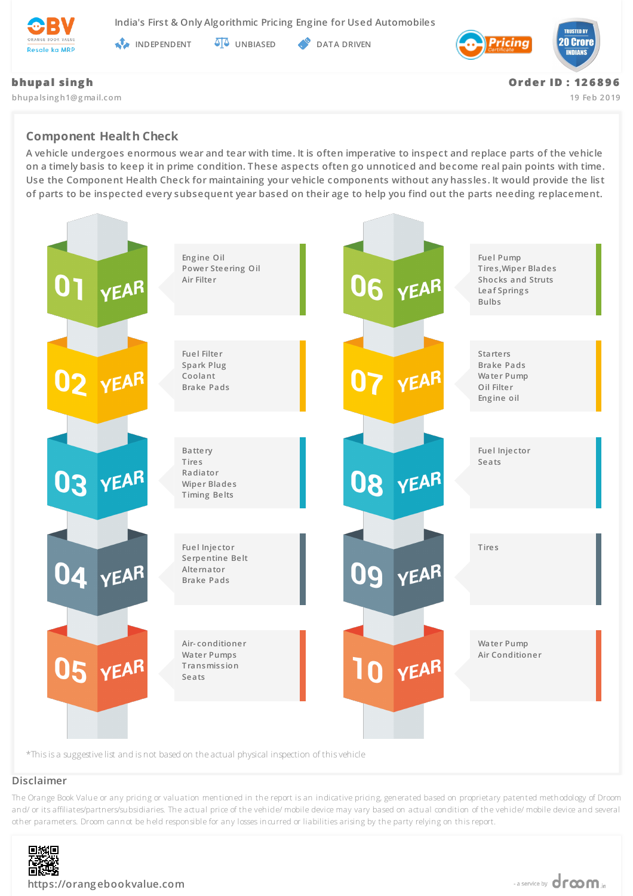

**India's First & Only Algorithmic Pricing Engine for Used Automobiles**

**INDEPENDENT AT UNBIASED PATA DRIVEN** 



**bhupalsing h1@g mail.com**

**Or de r ID : 12 6 8 9 6**

**19 Feb 2019**

# **Component Health Check**

**A vehicle undergoes enormous wear and tear with time. It is often imperative to inspect and replace parts of the vehicle on a timely basis to keep it in prime condition. These aspects often go unnoticed and become real pain points with time. Use the Component Health Check for maintaining your vehicle components without any hassles. It would provide the list of parts to be inspected every subsequent year based on their age to help you find out the parts needing replacement.**



#### **Disclaimer**